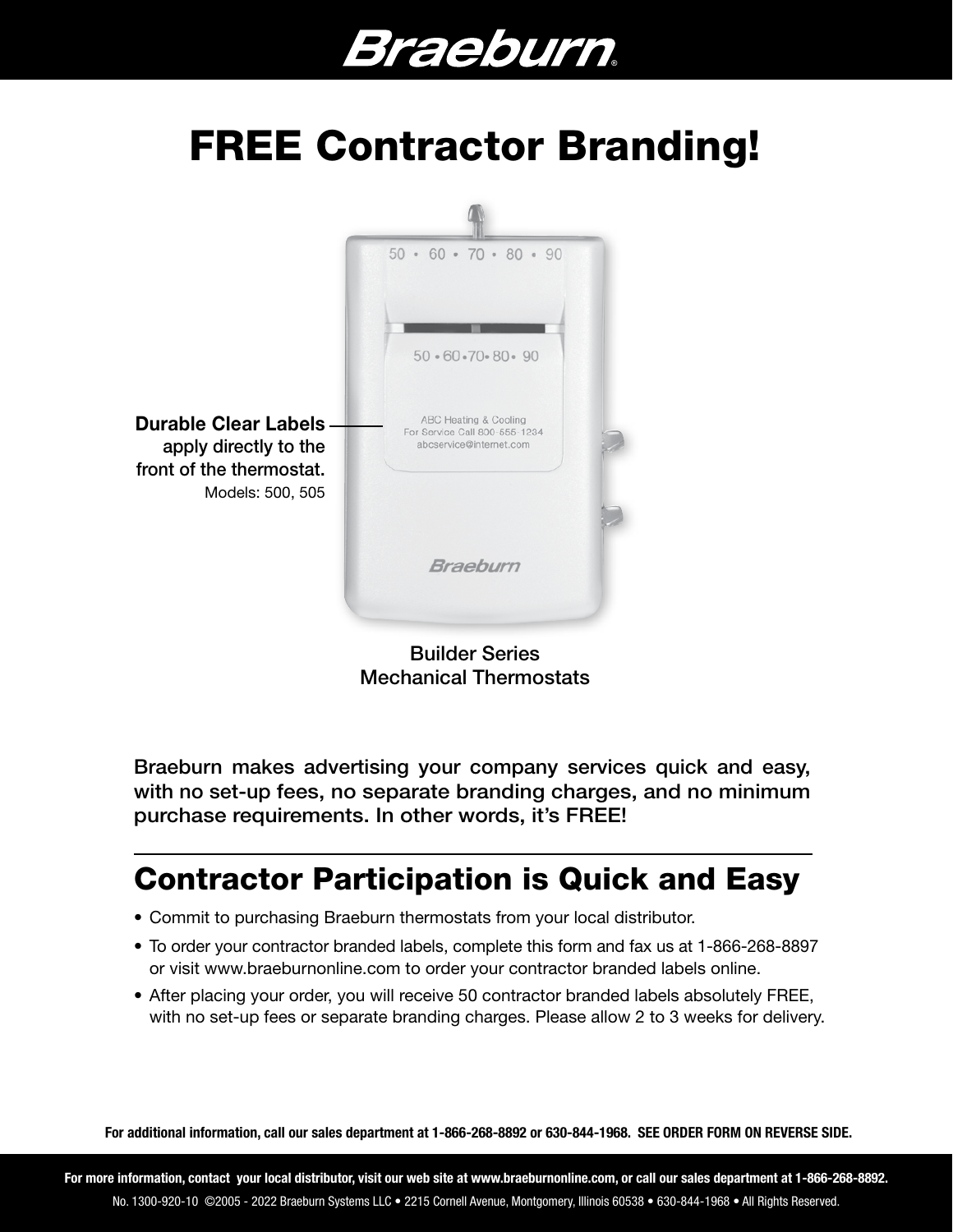# Braeburn.

### FREE Contractor Branding!



Builder Series Mechanical Thermostats

Braeburn makes advertising your company services quick and easy, with no set-up fees, no separate branding charges, and no minimum purchase requirements. In other words, it's FREE!

#### Contractor Participation is Quick and Easy

- Commit to purchasing Braeburn thermostats from your local distributor.
- To order your contractor branded labels, complete this form and fax us at 1-866-268-8897 or visit www.braeburnonline.com to order your contractor branded labels online.
- After placing your order, you will receive 50 contractor branded labels absolutely FREE, with no set-up fees or separate branding charges. Please allow 2 to 3 weeks for delivery.

For additional information, call our sales department at 1-866-268-8892 or 630-844-1968. SEE ORDER FORM ON REVERSE SIDE.